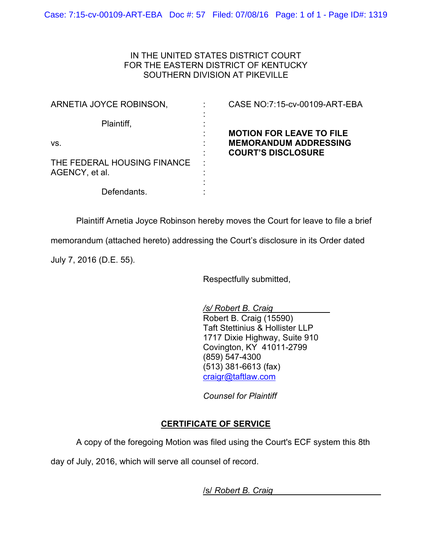## IN THE UNITED STATES DISTRICT COURT FOR THE EASTERN DISTRICT OF KENTUCKY SOUTHERN DIVISION AT PIKEVILLE

| ARNETIA JOYCE ROBINSON,     | CASE NO:7:15-cv-00109-ART-EBA                     |
|-----------------------------|---------------------------------------------------|
| Plaintiff,                  | $\blacksquare$                                    |
|                             | <b>MOTION FOR LEAVE TO FILE</b><br>$\blacksquare$ |
| VS.                         | <b>MEMORANDUM ADDRESSING</b>                      |
| THE FEDERAL HOUSING FINANCE | <b>COURT'S DISCLOSURE</b><br>л.                   |
| AGENCY, et al.              | $\blacksquare$                                    |
|                             | $\blacksquare$                                    |
| Defendants.                 |                                                   |

Plaintiff Arnetia Joyce Robinson hereby moves the Court for leave to file a brief

memorandum (attached hereto) addressing the Court's disclosure in its Order dated

July 7, 2016 (D.E. 55).

Respectfully submitted,

*/s/ Robert B. Craig* Robert B. Craig (15590) Taft Stettinius & Hollister LLP 1717 Dixie Highway, Suite 910 Covington, KY 41011-2799 (859) 547-4300 (513) 381-6613 (fax) [craigr@taftlaw.com](mailto:craigr@taftlaw.com)

*Counsel for Plaintiff*

## **CERTIFICATE OF SERVICE**

A copy of the foregoing Motion was filed using the Court's ECF system this 8th

day of July, 2016, which will serve all counsel of record.

/s/ *Robert B. Craig*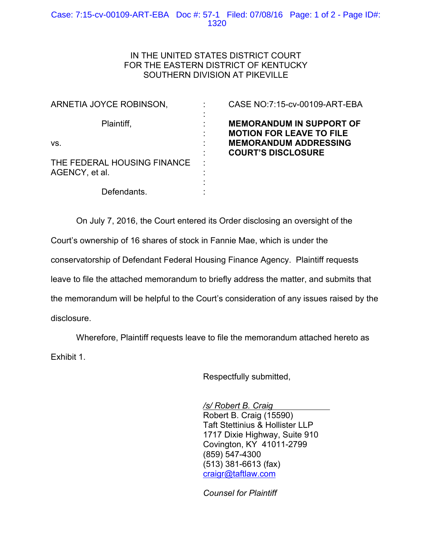## Case: 7:15-cv-00109-ART-EBA Doc #: 57-1 Filed: 07/08/16 Page: 1 of 2 - Page ID#: 1320

## IN THE UNITED STATES DISTRICT COURT FOR THE EASTERN DISTRICT OF KENTUCKY SOUTHERN DIVISION AT PIKEVILLE

| ARNETIA JOYCE ROBINSON,                       | CASE NO:7:15-cv-00109-ART-EBA                                      |
|-----------------------------------------------|--------------------------------------------------------------------|
| Plaintiff,                                    | <b>MEMORANDUM IN SUPPORT OF</b><br><b>MOTION FOR LEAVE TO FILE</b> |
| VS.                                           | <b>MEMORANDUM ADDRESSING</b><br><b>COURT'S DISCLOSURE</b>          |
| THE FEDERAL HOUSING FINANCE<br>AGENCY, et al. | ÷<br>٠                                                             |
| Defendants.                                   |                                                                    |

On July 7, 2016, the Court entered its Order disclosing an oversight of the Court's ownership of 16 shares of stock in Fannie Mae, which is under the conservatorship of Defendant Federal Housing Finance Agency. Plaintiff requests leave to file the attached memorandum to briefly address the matter, and submits that the memorandum will be helpful to the Court's consideration of any issues raised by the disclosure.

Wherefore, Plaintiff requests leave to file the memorandum attached hereto as Exhibit 1.

Respectfully submitted,

*/s/ Robert B. Craig* Robert B. Craig (15590) Taft Stettinius & Hollister LLP 1717 Dixie Highway, Suite 910 Covington, KY 41011-2799 (859) 547-4300 (513) 381-6613 (fax) [craigr@taftlaw.com](mailto:craigr@taftlaw.com)

*Counsel for Plaintiff*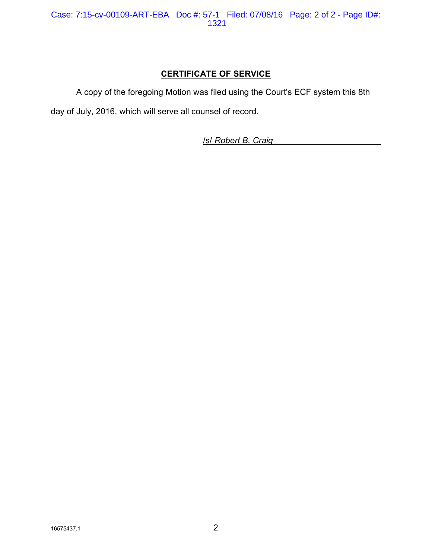# **CERTIFICATE OF SERVICE**

A copy of the foregoing Motion was filed using the Court's ECF system this 8th

day of July, 2016, which will serve all counsel of record.

/s/ *Robert B. Craig*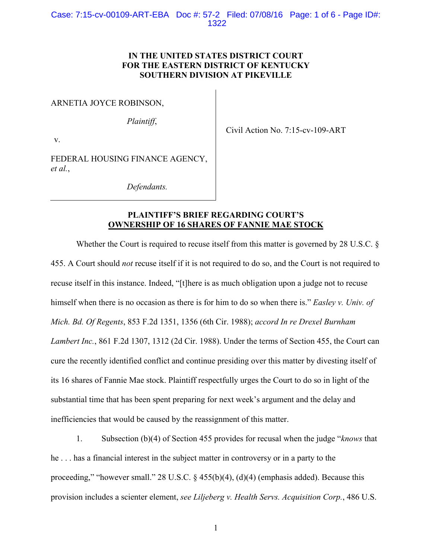## **IN THE UNITED STATES DISTRICT COURT FOR THE EASTERN DISTRICT OF KENTUCKY SOUTHERN DIVISION AT PIKEVILLE**

ARNETIA JOYCE ROBINSON,

*Plaintiff*,

v.

Civil Action No. 7:15-cv-109-ART

FEDERAL HOUSING FINANCE AGENCY, *et al.*,

*Defendants.*

## **PLAINTIFF'S BRIEF REGARDING COURT'S OWNERSHIP OF 16 SHARES OF FANNIE MAE STOCK**

Whether the Court is required to recuse itself from this matter is governed by 28 U.S.C. § 455. A Court should *not* recuse itself if it is not required to do so, and the Court is not required to recuse itself in this instance. Indeed, "[t]here is as much obligation upon a judge not to recuse himself when there is no occasion as there is for him to do so when there is." *Easley v. Univ. of Mich. Bd. Of Regents*, 853 F.2d 1351, 1356 (6th Cir. 1988); *accord In re Drexel Burnham Lambert Inc.*, 861 F.2d 1307, 1312 (2d Cir. 1988). Under the terms of Section 455, the Court can cure the recently identified conflict and continue presiding over this matter by divesting itself of its 16 shares of Fannie Mae stock. Plaintiff respectfully urges the Court to do so in light of the substantial time that has been spent preparing for next week's argument and the delay and inefficiencies that would be caused by the reassignment of this matter.

1. Subsection (b)(4) of Section 455 provides for recusal when the judge "*knows* that he . . . has a financial interest in the subject matter in controversy or in a party to the proceeding," "however small." 28 U.S.C. § 455(b)(4), (d)(4) (emphasis added). Because this provision includes a scienter element, *see Liljeberg v. Health Servs. Acquisition Corp.*, 486 U.S.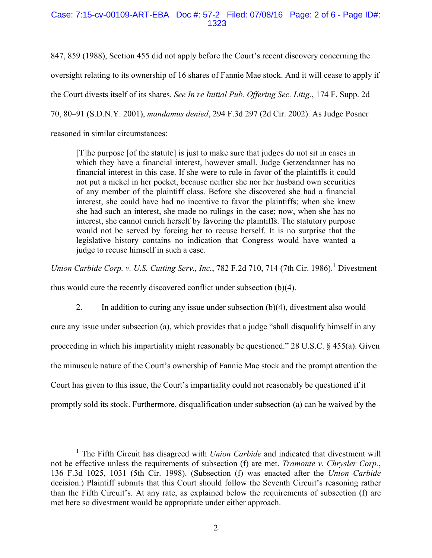#### Case: 7:15-cv-00109-ART-EBA Doc #: 57-2 Filed: 07/08/16 Page: 2 of 6 - Page ID#: 1323

847, 859 (1988), Section 455 did not apply before the Court's recent discovery concerning the oversight relating to its ownership of 16 shares of Fannie Mae stock. And it will cease to apply if the Court divests itself of its shares. *See In re Initial Pub. Offering Sec. Litig.*, 174 F. Supp. 2d 70, 80–91 (S.D.N.Y. 2001), *mandamus denied*, 294 F.3d 297 (2d Cir. 2002). As Judge Posner reasoned in similar circumstances:

[T]he purpose [of the statute] is just to make sure that judges do not sit in cases in which they have a financial interest, however small. Judge Getzendanner has no financial interest in this case. If she were to rule in favor of the plaintiffs it could not put a nickel in her pocket, because neither she nor her husband own securities of any member of the plaintiff class. Before she discovered she had a financial interest, she could have had no incentive to favor the plaintiffs; when she knew she had such an interest, she made no rulings in the case; now, when she has no interest, she cannot enrich herself by favoring the plaintiffs. The statutory purpose would not be served by forcing her to recuse herself. It is no surprise that the legislative history contains no indication that Congress would have wanted a judge to recuse himself in such a case.

*Union Carbide Corp. v. U.S. Cutting Serv., Inc., 782 F.2d 710, 714 (7th Cir. 1986).*<sup>1</sup> Divestment

thus would cure the recently discovered conflict under subsection (b)(4).

 $\overline{a}$ 

2. In addition to curing any issue under subsection (b)(4), divestment also would cure any issue under subsection (a), which provides that a judge "shall disqualify himself in any proceeding in which his impartiality might reasonably be questioned." 28 U.S.C. § 455(a). Given the minuscule nature of the Court's ownership of Fannie Mae stock and the prompt attention the Court has given to this issue, the Court's impartiality could not reasonably be questioned if it promptly sold its stock. Furthermore, disqualification under subsection (a) can be waived by the

<sup>&</sup>lt;sup>1</sup> The Fifth Circuit has disagreed with *Union Carbide* and indicated that divestment will not be effective unless the requirements of subsection (f) are met. *Tramonte v. Chrysler Corp.*, 136 F.3d 1025, 1031 (5th Cir. 1998). (Subsection (f) was enacted after the *Union Carbide*  decision.) Plaintiff submits that this Court should follow the Seventh Circuit's reasoning rather than the Fifth Circuit's. At any rate, as explained below the requirements of subsection (f) are met here so divestment would be appropriate under either approach.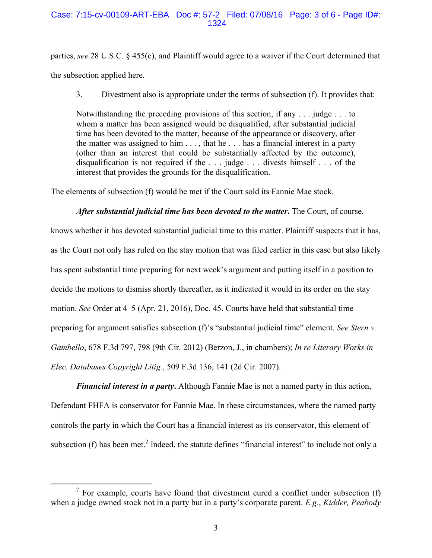#### Case: 7:15-cv-00109-ART-EBA Doc #: 57-2 Filed: 07/08/16 Page: 3 of 6 - Page ID#: 1324

parties, *see* 28 U.S.C. § 455(e), and Plaintiff would agree to a waiver if the Court determined that the subsection applied here.

3. Divestment also is appropriate under the terms of subsection (f). It provides that:

Notwithstanding the preceding provisions of this section, if any  $\dots$  judge  $\dots$  to whom a matter has been assigned would be disqualified, after substantial judicial time has been devoted to the matter, because of the appearance or discovery, after the matter was assigned to him . . . , that he . . . has a financial interest in a party (other than an interest that could be substantially affected by the outcome), disqualification is not required if the . . . judge . . . divests himself . . . of the interest that provides the grounds for the disqualification.

The elements of subsection (f) would be met if the Court sold its Fannie Mae stock.

#### *After substantial judicial time has been devoted to the matter***.** The Court, of course,

knows whether it has devoted substantial judicial time to this matter. Plaintiff suspects that it has, as the Court not only has ruled on the stay motion that was filed earlier in this case but also likely has spent substantial time preparing for next week's argument and putting itself in a position to decide the motions to dismiss shortly thereafter, as it indicated it would in its order on the stay motion. *See* Order at 4–5 (Apr. 21, 2016), Doc. 45. Courts have held that substantial time preparing for argument satisfies subsection (f)'s "substantial judicial time" element. *See Stern v. Gambello*, 678 F.3d 797, 798 (9th Cir. 2012) (Berzon, J., in chambers); *In re Literary Works in Elec. Databases Copyright Litig.*, 509 F.3d 136, 141 (2d Cir. 2007).

*Financial interest in a party***.** Although Fannie Mae is not a named party in this action, Defendant FHFA is conservator for Fannie Mae. In these circumstances, where the named party controls the party in which the Court has a financial interest as its conservator, this element of subsection (f) has been met.<sup>2</sup> Indeed, the statute defines "financial interest" to include not only a

 $\overline{a}$ 

<sup>&</sup>lt;sup>2</sup> For example, courts have found that divestment cured a conflict under subsection  $(f)$ when a judge owned stock not in a party but in a party's corporate parent. *E.g.*, *Kidder, Peabody*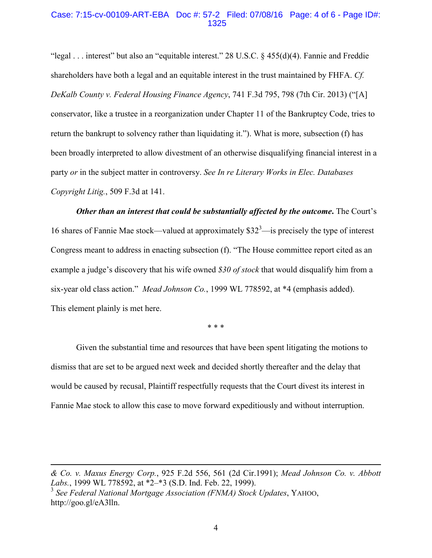#### Case: 7:15-cv-00109-ART-EBA Doc #: 57-2 Filed: 07/08/16 Page: 4 of 6 - Page ID#: 1325

"legal . . . interest" but also an "equitable interest." 28 U.S.C. § 455(d)(4). Fannie and Freddie shareholders have both a legal and an equitable interest in the trust maintained by FHFA. *Cf. DeKalb County v. Federal Housing Finance Agency*, 741 F.3d 795, 798 (7th Cir. 2013) ("[A] conservator, like a trustee in a reorganization under Chapter 11 of the Bankruptcy Code, tries to return the bankrupt to solvency rather than liquidating it."). What is more, subsection (f) has been broadly interpreted to allow divestment of an otherwise disqualifying financial interest in a party *or* in the subject matter in controversy. *See In re Literary Works in Elec. Databases Copyright Litig.*, 509 F.3d at 141.

*Other than an interest that could be substantially affected by the outcome***.** The Court's 16 shares of Fannie Mae stock—valued at approximately  $$32^3$ —is precisely the type of interest Congress meant to address in enacting subsection (f). "The House committee report cited as an example a judge's discovery that his wife owned *\$30 of stock* that would disqualify him from a six-year old class action." *Mead Johnson Co.*, 1999 WL 778592, at \*4 (emphasis added). This element plainly is met here.

\* \* \*

Given the substantial time and resources that have been spent litigating the motions to dismiss that are set to be argued next week and decided shortly thereafter and the delay that would be caused by recusal, Plaintiff respectfully requests that the Court divest its interest in Fannie Mae stock to allow this case to move forward expeditiously and without interruption.

l

*<sup>&</sup>amp; Co. v. Maxus Energy Corp.*, 925 F.2d 556, 561 (2d Cir.1991); *Mead Johnson Co. v. Abbott Labs.*, 1999 WL 778592, at \*2–\*3 (S.D. Ind. Feb. 22, 1999).

<sup>3</sup> *See Federal National Mortgage Association (FNMA) Stock Updates*, YAHOO, http://goo.gl/eA3lln.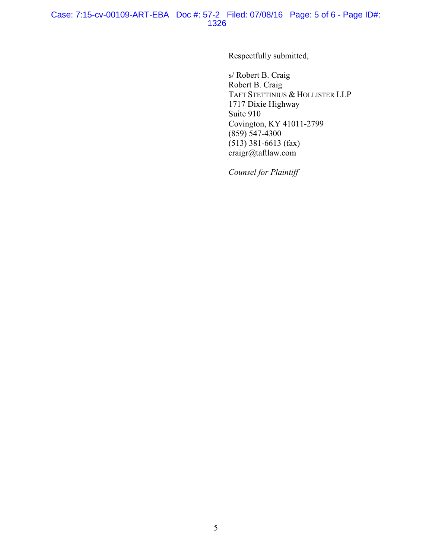#### Case: 7:15-cv-00109-ART-EBA Doc #: 57-2 Filed: 07/08/16 Page: 5 of 6 - Page ID#: 1326

Respectfully submitted,

s/ Robert B. Craig Robert B. Craig TAFT STETTINIUS & HOLLISTER LLP 1717 Dixie Highway Suite 910 Covington, KY 41011-2799 (859) 547-4300 (513) 381-6613 (fax) craigr@taftlaw.com

*Counsel for Plaintiff*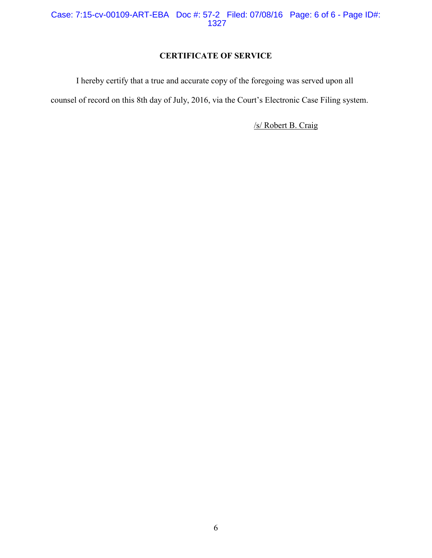Case: 7:15-cv-00109-ART-EBA Doc #: 57-2 Filed: 07/08/16 Page: 6 of 6 - Page ID#: 1327

# **CERTIFICATE OF SERVICE**

I hereby certify that a true and accurate copy of the foregoing was served upon all

counsel of record on this 8th day of July, 2016, via the Court's Electronic Case Filing system.

/s/ Robert B. Craig